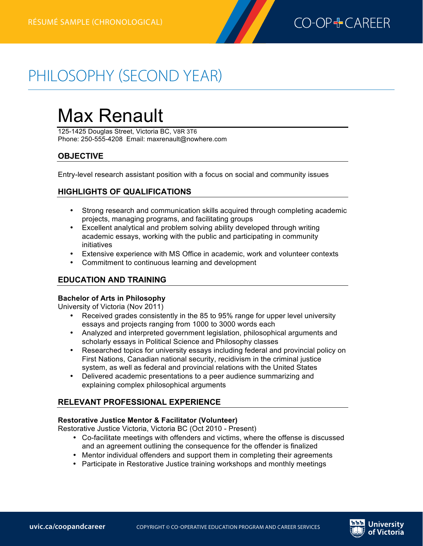

# PHILOSOPHY (SECOND YEAR)

# Max Renault

125-1425 Douglas Street, Victoria BC, V8R 3T6 Phone: 250-555-4208 Email: maxrenault@nowhere.com

# **OBJECTIVE**

**Philosophyrésumé (second year)—chronological**

Entry-level research assistant position with a focus on social and community issues

# **HIGHLIGHTS OF QUALIFICATIONS**

- Strong research and communication skills acquired through completing academic projects, managing programs, and facilitating groups
- Excellent analytical and problem solving ability developed through writing academic essays, working with the public and participating in community initiatives
- Extensive experience with MS Office in academic, work and volunteer contexts
- Commitment to continuous learning and development

# **EDUCATION AND TRAINING**

#### **Bachelor of Arts in Philosophy**

University of Victoria (Nov 2011)

- Received grades consistently in the 85 to 95% range for upper level university essays and projects ranging from 1000 to 3000 words each
- Analyzed and interpreted government legislation, philosophical arguments and scholarly essays in Political Science and Philosophy classes
- Researched topics for university essays including federal and provincial policy on First Nations, Canadian national security, recidivism in the criminal justice system, as well as federal and provincial relations with the United States
- Delivered academic presentations to a peer audience summarizing and explaining complex philosophical arguments

# **RELEVANT PROFESSIONAL EXPERIENCE**

#### **Restorative Justice Mentor & Facilitator (Volunteer)**

Restorative Justice Victoria, Victoria BC (Oct 2010 - Present)

- Co-facilitate meetings with offenders and victims, where the offense is discussed and an agreement outlining the consequence for the offender is finalized
- Mentor individual offenders and support them in completing their agreements
- Participate in Restorative Justice training workshops and monthly meetings